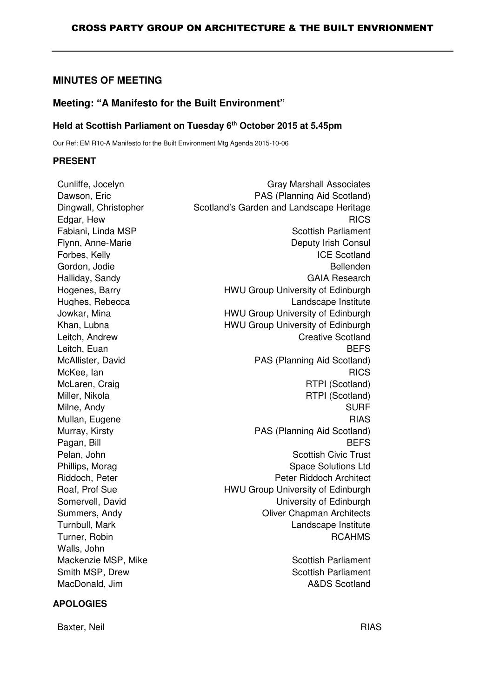# **MINUTES OF MEETING**

# **Meeting: "A Manifesto for the Built Environment"**

# **Held at Scottish Parliament on Tuesday 6th October 2015 at 5.45pm**

Our Ref: EM R10-A Manifesto for the Built Environment Mtg Agenda 2015-10-06

#### **PRESENT**

| Cunliffe, Jocelyn     | <b>Gray Marshall Associates</b>          |
|-----------------------|------------------------------------------|
| Dawson, Eric          | PAS (Planning Aid Scotland)              |
| Dingwall, Christopher | Scotland's Garden and Landscape Heritage |
| Edgar, Hew            | <b>RICS</b>                              |
| Fabiani, Linda MSP    | <b>Scottish Parliament</b>               |
| Flynn, Anne-Marie     | Deputy Irish Consul                      |
| Forbes, Kelly         | <b>ICE Scotland</b>                      |
| Gordon, Jodie         | Bellenden                                |
| Halliday, Sandy       | <b>GAIA Research</b>                     |
| Hogenes, Barry        | HWU Group University of Edinburgh        |
| Hughes, Rebecca       | Landscape Institute                      |
| Jowkar, Mina          | HWU Group University of Edinburgh        |
| Khan, Lubna           | HWU Group University of Edinburgh        |
| Leitch, Andrew        | <b>Creative Scotland</b>                 |
| Leitch, Euan          | <b>BEFS</b>                              |
| McAllister, David     | PAS (Planning Aid Scotland)              |
| McKee, lan            | <b>RICS</b>                              |
| McLaren, Craig        | RTPI (Scotland)                          |
| Miller, Nikola        | RTPI (Scotland)                          |
| Milne, Andy           | <b>SURF</b>                              |
| Mullan, Eugene        | <b>RIAS</b>                              |
| Murray, Kirsty        | PAS (Planning Aid Scotland)              |
| Pagan, Bill           | <b>BEFS</b>                              |
| Pelan, John           | <b>Scottish Civic Trust</b>              |
| Phillips, Morag       | <b>Space Solutions Ltd</b>               |
| Riddoch, Peter        | Peter Riddoch Architect                  |
| Roaf, Prof Sue        | HWU Group University of Edinburgh        |
| Somervell, David      | University of Edinburgh                  |
| Summers, Andy         | <b>Oliver Chapman Architects</b>         |
| Turnbull, Mark        | Landscape Institute                      |
| Turner, Robin         | <b>RCAHMS</b>                            |
| Walls, John           |                                          |
| Mackenzie MSP, Mike   | <b>Scottish Parliament</b>               |
| Smith MSP, Drew       | <b>Scottish Parliament</b>               |
| MacDonald, Jim        | <b>A&amp;DS Scotland</b>                 |

## **APOLOGIES**

Baxter, Neil RIAS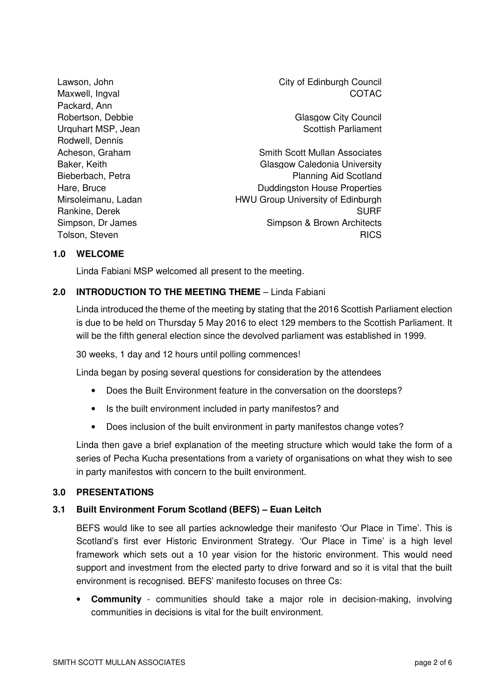Packard, Ann Robertson, Debbie Glasgow City Council Urquhart MSP, Jean Scottish Parliament Rodwell, Dennis

Lawson, John City of Edinburgh Council Maxwell, Ingval COTAC

Acheson, Graham Scott Mullan Associates Baker, Keith Glasgow Caledonia University Bieberbach, Petra **Planning Aid Scotland** Hare, Bruce **Duddingston House Properties** Mirsoleimanu, Ladan HWU Group University of Edinburgh Rankine, Derek SURF Simpson, Dr James Simpson & Brown Architects Tolson, Steven **RICS** 

### **1.0 WELCOME**

Linda Fabiani MSP welcomed all present to the meeting.

## **2.0 INTRODUCTION TO THE MEETING THEME** – Linda Fabiani

Linda introduced the theme of the meeting by stating that the 2016 Scottish Parliament election is due to be held on Thursday 5 May 2016 to elect 129 members to the Scottish Parliament. It will be the fifth general election since the devolved parliament was established in 1999.

30 weeks, 1 day and 12 hours until polling commences!

Linda began by posing several questions for consideration by the attendees

- Does the Built Environment feature in the conversation on the doorsteps?
- Is the built environment included in party manifestos? and
- Does inclusion of the built environment in party manifestos change votes?

Linda then gave a brief explanation of the meeting structure which would take the form of a series of Pecha Kucha presentations from a variety of organisations on what they wish to see in party manifestos with concern to the built environment.

## **3.0 PRESENTATIONS**

## **3.1 Built Environment Forum Scotland (BEFS) – Euan Leitch**

BEFS would like to see all parties acknowledge their manifesto 'Our Place in Time'. This is Scotland's first ever Historic Environment Strategy. 'Our Place in Time' is a high level framework which sets out a 10 year vision for the historic environment. This would need support and investment from the elected party to drive forward and so it is vital that the built environment is recognised. BEFS' manifesto focuses on three Cs:

• **Community** - communities should take a major role in decision-making, involving communities in decisions is vital for the built environment.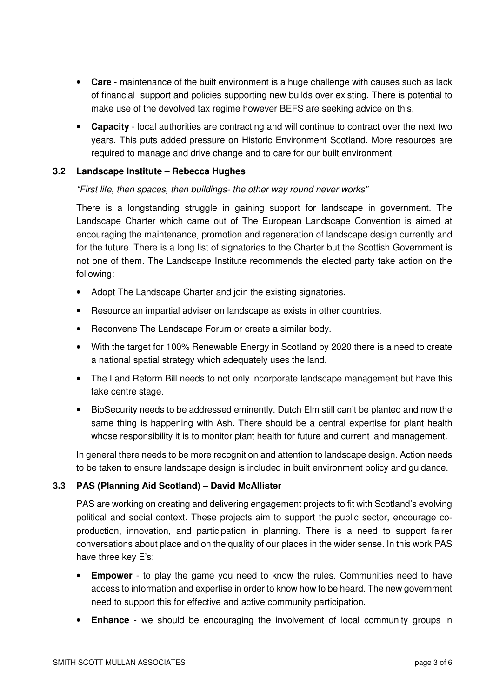- **Care** maintenance of the built environment is a huge challenge with causes such as lack of financial support and policies supporting new builds over existing. There is potential to make use of the devolved tax regime however BEFS are seeking advice on this.
- **Capacity** local authorities are contracting and will continue to contract over the next two years. This puts added pressure on Historic Environment Scotland. More resources are required to manage and drive change and to care for our built environment.

### **3.2 Landscape Institute – Rebecca Hughes**

### "First life, then spaces, then buildings- the other way round never works"

There is a longstanding struggle in gaining support for landscape in government. The Landscape Charter which came out of The European Landscape Convention is aimed at encouraging the maintenance, promotion and regeneration of landscape design currently and for the future. There is a long list of signatories to the Charter but the Scottish Government is not one of them. The Landscape Institute recommends the elected party take action on the following:

- Adopt The Landscape Charter and join the existing signatories.
- Resource an impartial adviser on landscape as exists in other countries.
- Reconvene The Landscape Forum or create a similar body.
- With the target for 100% Renewable Energy in Scotland by 2020 there is a need to create a national spatial strategy which adequately uses the land.
- The Land Reform Bill needs to not only incorporate landscape management but have this take centre stage.
- BioSecurity needs to be addressed eminently. Dutch Elm still can't be planted and now the same thing is happening with Ash. There should be a central expertise for plant health whose responsibility it is to monitor plant health for future and current land management.

In general there needs to be more recognition and attention to landscape design. Action needs to be taken to ensure landscape design is included in built environment policy and guidance.

## **3.3 PAS (Planning Aid Scotland) – David McAllister**

PAS are working on creating and delivering engagement projects to fit with Scotland's evolving political and social context. These projects aim to support the public sector, encourage coproduction, innovation, and participation in planning. There is a need to support fairer conversations about place and on the quality of our places in the wider sense. In this work PAS have three key E's:

- **Empower** to play the game you need to know the rules. Communities need to have access to information and expertise in order to know how to be heard. The new government need to support this for effective and active community participation.
- **Enhance** we should be encouraging the involvement of local community groups in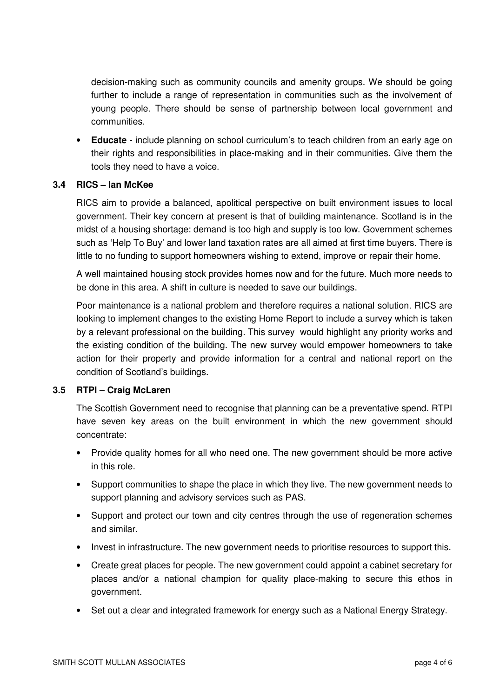decision-making such as community councils and amenity groups. We should be going further to include a range of representation in communities such as the involvement of young people. There should be sense of partnership between local government and communities.

• **Educate** - include planning on school curriculum's to teach children from an early age on their rights and responsibilities in place-making and in their communities. Give them the tools they need to have a voice.

#### **3.4 RICS – Ian McKee**

RICS aim to provide a balanced, apolitical perspective on built environment issues to local government. Their key concern at present is that of building maintenance. Scotland is in the midst of a housing shortage: demand is too high and supply is too low. Government schemes such as 'Help To Buy' and lower land taxation rates are all aimed at first time buyers. There is little to no funding to support homeowners wishing to extend, improve or repair their home.

A well maintained housing stock provides homes now and for the future. Much more needs to be done in this area. A shift in culture is needed to save our buildings.

Poor maintenance is a national problem and therefore requires a national solution. RICS are looking to implement changes to the existing Home Report to include a survey which is taken by a relevant professional on the building. This survey would highlight any priority works and the existing condition of the building. The new survey would empower homeowners to take action for their property and provide information for a central and national report on the condition of Scotland's buildings.

#### **3.5 RTPI – Craig McLaren**

The Scottish Government need to recognise that planning can be a preventative spend. RTPI have seven key areas on the built environment in which the new government should concentrate:

- Provide quality homes for all who need one. The new government should be more active in this role.
- Support communities to shape the place in which they live. The new government needs to support planning and advisory services such as PAS.
- Support and protect our town and city centres through the use of regeneration schemes and similar.
- Invest in infrastructure. The new government needs to prioritise resources to support this.
- Create great places for people. The new government could appoint a cabinet secretary for places and/or a national champion for quality place-making to secure this ethos in government.
- Set out a clear and integrated framework for energy such as a National Energy Strategy.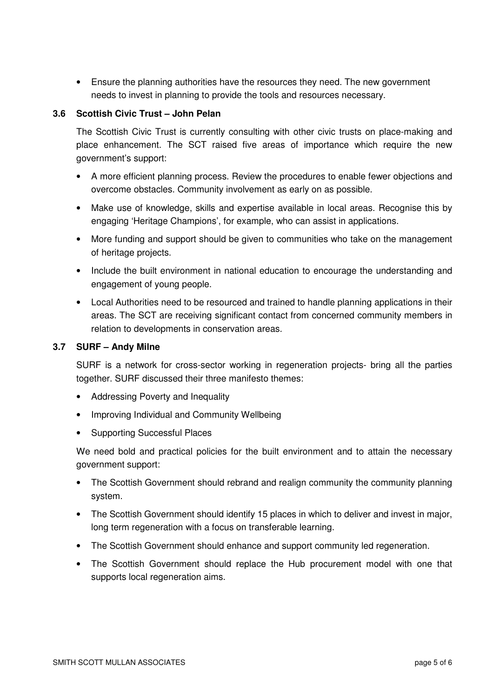• Ensure the planning authorities have the resources they need. The new government needs to invest in planning to provide the tools and resources necessary.

## **3.6 Scottish Civic Trust – John Pelan**

The Scottish Civic Trust is currently consulting with other civic trusts on place-making and place enhancement. The SCT raised five areas of importance which require the new government's support:

- A more efficient planning process. Review the procedures to enable fewer objections and overcome obstacles. Community involvement as early on as possible.
- Make use of knowledge, skills and expertise available in local areas. Recognise this by engaging 'Heritage Champions', for example, who can assist in applications.
- More funding and support should be given to communities who take on the management of heritage projects.
- Include the built environment in national education to encourage the understanding and engagement of young people.
- Local Authorities need to be resourced and trained to handle planning applications in their areas. The SCT are receiving significant contact from concerned community members in relation to developments in conservation areas.

## **3.7 SURF – Andy Milne**

SURF is a network for cross-sector working in regeneration projects- bring all the parties together. SURF discussed their three manifesto themes:

- Addressing Poverty and Inequality
- Improving Individual and Community Wellbeing
- Supporting Successful Places

We need bold and practical policies for the built environment and to attain the necessary government support:

- The Scottish Government should rebrand and realign community the community planning system.
- The Scottish Government should identify 15 places in which to deliver and invest in major, long term regeneration with a focus on transferable learning.
- The Scottish Government should enhance and support community led regeneration.
- The Scottish Government should replace the Hub procurement model with one that supports local regeneration aims.